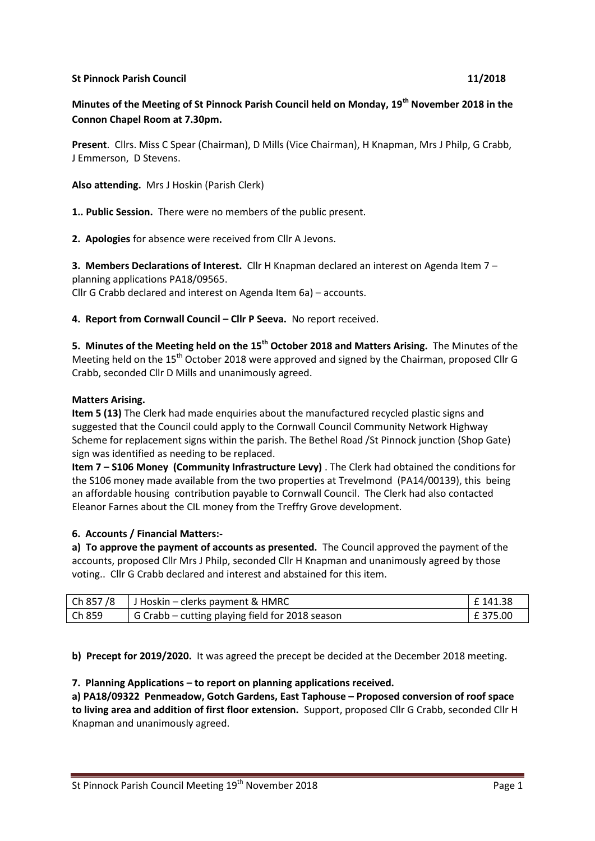## **St Pinnock Parish Council 11/2018**

**Minutes of the Meeting of St Pinnock Parish Council held on Monday, 19th November 2018 in the Connon Chapel Room at 7.30pm.**

**Present**. Cllrs. Miss C Spear (Chairman), D Mills (Vice Chairman), H Knapman, Mrs J Philp, G Crabb, J Emmerson, D Stevens.

**Also attending.** Mrs J Hoskin (Parish Clerk)

**1.. Public Session.** There were no members of the public present.

**2. Apologies** for absence were received from Cllr A Jevons.

**3. Members Declarations of Interest.** Cllr H Knapman declared an interest on Agenda Item 7 – planning applications PA18/09565. Cllr G Crabb declared and interest on Agenda Item 6a) – accounts.

**4. Report from Cornwall Council – Cllr P Seeva.** No report received.

**5. Minutes of the Meeting held on the 15th October 2018 and Matters Arising.** The Minutes of the Meeting held on the 15<sup>th</sup> October 2018 were approved and signed by the Chairman, proposed Cllr G Crabb, seconded Cllr D Mills and unanimously agreed.

### **Matters Arising.**

**Item 5 (13)** The Clerk had made enquiries about the manufactured recycled plastic signs and suggested that the Council could apply to the Cornwall Council Community Network Highway Scheme for replacement signs within the parish. The Bethel Road /St Pinnock junction (Shop Gate) sign was identified as needing to be replaced.

**Item 7 – S106 Money (Community Infrastructure Levy)** . The Clerk had obtained the conditions for the S106 money made available from the two properties at Trevelmond (PA14/00139), this being an affordable housing contribution payable to Cornwall Council. The Clerk had also contacted Eleanor Farnes about the CIL money from the Treffry Grove development.

### **6. Accounts / Financial Matters:-**

**a) To approve the payment of accounts as presented.** The Council approved the payment of the accounts, proposed Cllr Mrs J Philp, seconded Cllr H Knapman and unanimously agreed by those voting.. Cllr G Crabb declared and interest and abstained for this item.

|        | Ch 857/8   J Hoskin – clerks payment & HMRC             | l £ 141.38 |
|--------|---------------------------------------------------------|------------|
| Ch 859 | $\vert$ G Crabb – cutting playing field for 2018 season | £375.00    |

**b) Precept for 2019/2020.** It was agreed the precept be decided at the December 2018 meeting.

### **7. Planning Applications – to report on planning applications received.**

**a) PA18/09322 Penmeadow, Gotch Gardens, East Taphouse – Proposed conversion of roof space to living area and addition of first floor extension.** Support, proposed Cllr G Crabb, seconded Cllr H Knapman and unanimously agreed.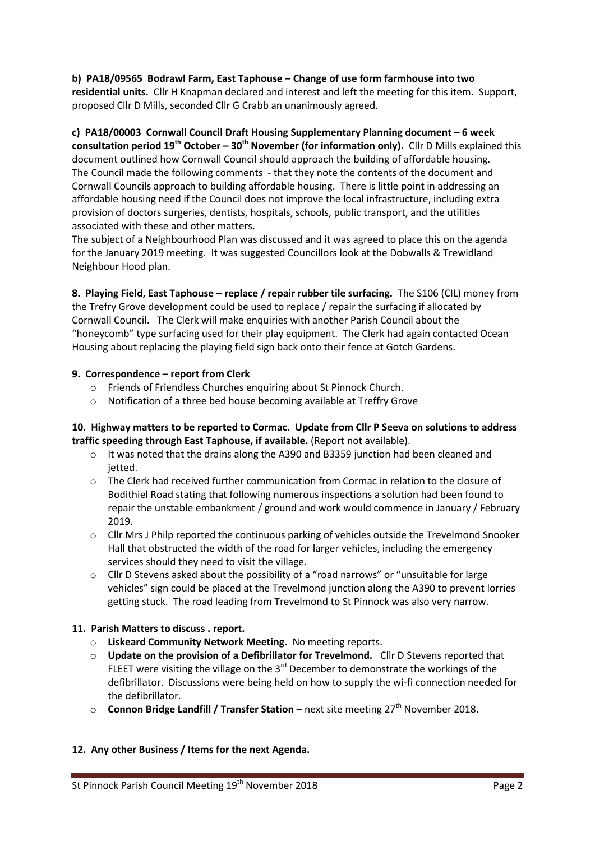# **b) PA18/09565 Bodrawl Farm, East Taphouse – Change of use form farmhouse into two**

**residential units.** Cllr H Knapman declared and interest and left the meeting for this item. Support, proposed Cllr D Mills, seconded Cllr G Crabb an unanimously agreed.

# **c) PA18/00003 Cornwall Council Draft Housing Supplementary Planning document – 6 week**

**consultation period 19th October – 30th November (for information only).** Cllr D Mills explained this document outlined how Cornwall Council should approach the building of affordable housing. The Council made the following comments - that they note the contents of the document and Cornwall Councils approach to building affordable housing. There is little point in addressing an affordable housing need if the Council does not improve the local infrastructure, including extra provision of doctors surgeries, dentists, hospitals, schools, public transport, and the utilities associated with these and other matters.

The subject of a Neighbourhood Plan was discussed and it was agreed to place this on the agenda for the January 2019 meeting. It was suggested Councillors look at the Dobwalls & Trewidland Neighbour Hood plan.

**8. Playing Field, East Taphouse – replace / repair rubber tile surfacing.** The S106 (CIL) money from the Trefry Grove development could be used to replace / repair the surfacing if allocated by Cornwall Council. The Clerk will make enquiries with another Parish Council about the "honeycomb" type surfacing used for their play equipment. The Clerk had again contacted Ocean Housing about replacing the playing field sign back onto their fence at Gotch Gardens.

## **9. Correspondence – report from Clerk**

- o Friends of Friendless Churches enquiring about St Pinnock Church.
- o Notification of a three bed house becoming available at Treffry Grove

## **10. Highway matters to be reported to Cormac. Update from Cllr P Seeva on solutions to address traffic speeding through East Taphouse, if available.** (Report not available).

- $\circ$  It was noted that the drains along the A390 and B3359 junction had been cleaned and jetted.
- $\circ$  The Clerk had received further communication from Cormac in relation to the closure of Bodithiel Road stating that following numerous inspections a solution had been found to repair the unstable embankment / ground and work would commence in January / February 2019.
- $\circ$  Cllr Mrs J Philp reported the continuous parking of vehicles outside the Trevelmond Snooker Hall that obstructed the width of the road for larger vehicles, including the emergency services should they need to visit the village.
- o Cllr D Stevens asked about the possibility of a "road narrows" or "unsuitable for large vehicles" sign could be placed at the Trevelmond junction along the A390 to prevent lorries getting stuck. The road leading from Trevelmond to St Pinnock was also very narrow.

# **11. Parish Matters to discuss . report.**

- o **Liskeard Community Network Meeting.** No meeting reports.
- o **Update on the provision of a Defibrillator for Trevelmond.** Cllr D Stevens reported that FLEET were visiting the village on the  $3<sup>rd</sup>$  December to demonstrate the workings of the defibrillator. Discussions were being held on how to supply the wi-fi connection needed for the defibrillator.
- **Connon Bridge Landfill / Transfer Station** next site meeting 27<sup>th</sup> November 2018.

### **12. Any other Business / Items for the next Agenda.**